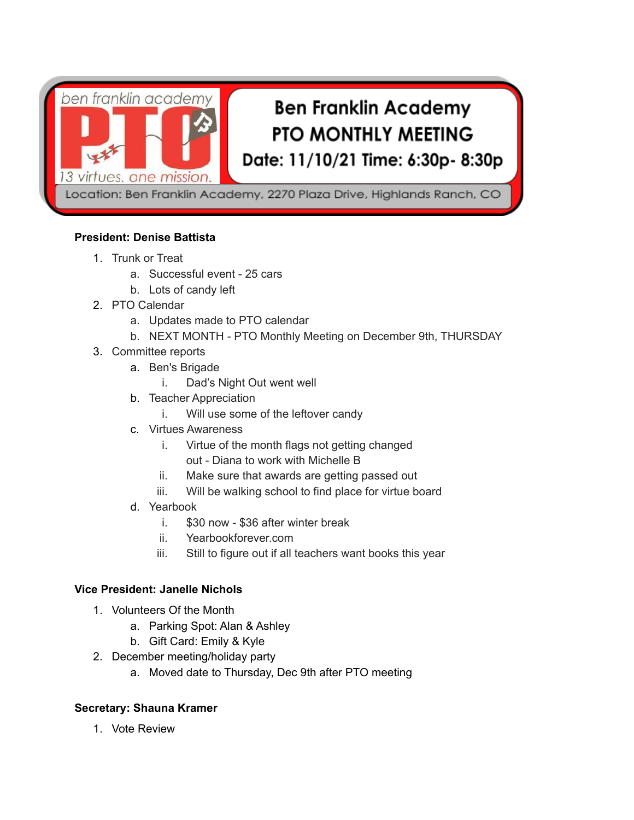

Location: Ben Franklin Academy, 2270 Plaza Drive, Highlands Ranch, CO

# **President: Denise Battista**

- 1. Trunk or Treat
	- a. Successful event 25 cars
	- b. Lots of candy left
- 2. PTO Calendar
	- a. Updates made to PTO calendar
	- b. NEXT MONTH PTO Monthly Meeting on December 9th, THURSDAY
- 3. Committee reports
	- a. Ben's Brigade
		- i. Dad's Night Out went well
	- b. Teacher Appreciation
		- i. Will use some of the leftover candy
	- c. Virtues Awareness
		- i. Virtue of the month flags not getting changed out - Diana to work with Michelle B
		- ii. Make sure that awards are getting passed out
		- iii. Will be walking school to find place for virtue board
	- d. Yearbook
		- i. \$30 now \$36 after winter break
		- ii. Yearbookforever.com
		- iii. Still to figure out if all teachers want books this year

# **Vice President: Janelle Nichols**

- 1. Volunteers Of the Month
	- a. Parking Spot: Alan & Ashley
	- b. Gift Card: Emily & Kyle
- 2. December meeting/holiday party
	- a. Moved date to Thursday, Dec 9th after PTO meeting

### **Secretary: Shauna Kramer**

1. Vote Review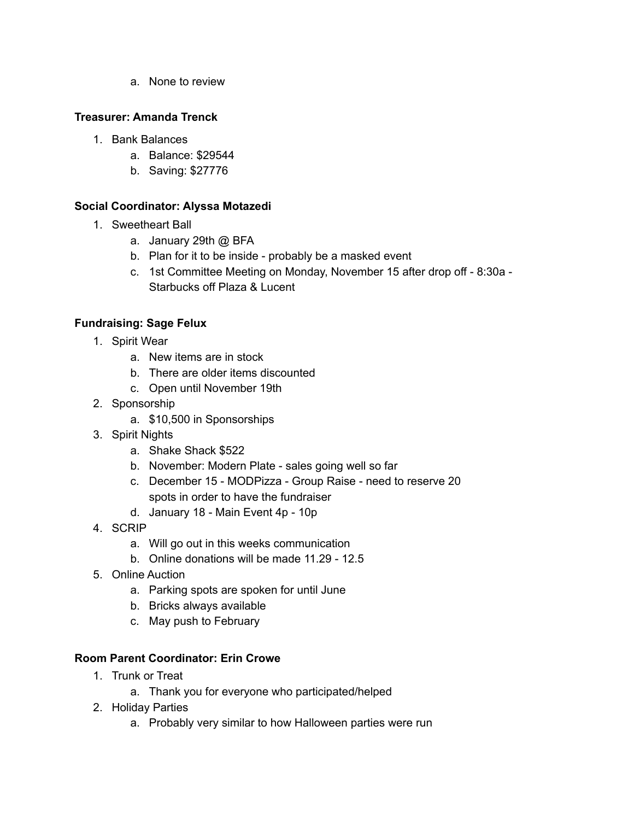a. None to review

## **Treasurer: Amanda Trenck**

- 1. Bank Balances
	- a. Balance: \$29544
	- b. Saving: \$27776

# **Social Coordinator: Alyssa Motazedi**

- 1. Sweetheart Ball
	- a. January 29th @ BFA
	- b. Plan for it to be inside probably be a masked event
	- c. 1st Committee Meeting on Monday, November 15 after drop off 8:30a Starbucks off Plaza & Lucent

# **Fundraising: Sage Felux**

- 1. Spirit Wear
	- a. New items are in stock
	- b. There are older items discounted
	- c. Open until November 19th
- 2. Sponsorship
	- a. \$10,500 in Sponsorships
- 3. Spirit Nights
	- a. Shake Shack \$522
	- b. November: Modern Plate sales going well so far
	- c. December 15 MODPizza Group Raise need to reserve 20 spots in order to have the fundraiser
	- d. January 18 Main Event 4p 10p
- 4. SCRIP
	- a. Will go out in this weeks communication
	- b. Online donations will be made 11.29 12.5
- 5. Online Auction
	- a. Parking spots are spoken for until June
	- b. Bricks always available
	- c. May push to February

### **Room Parent Coordinator: Erin Crowe**

- 1. Trunk or Treat
	- a. Thank you for everyone who participated/helped
- 2. Holiday Parties
	- a. Probably very similar to how Halloween parties were run